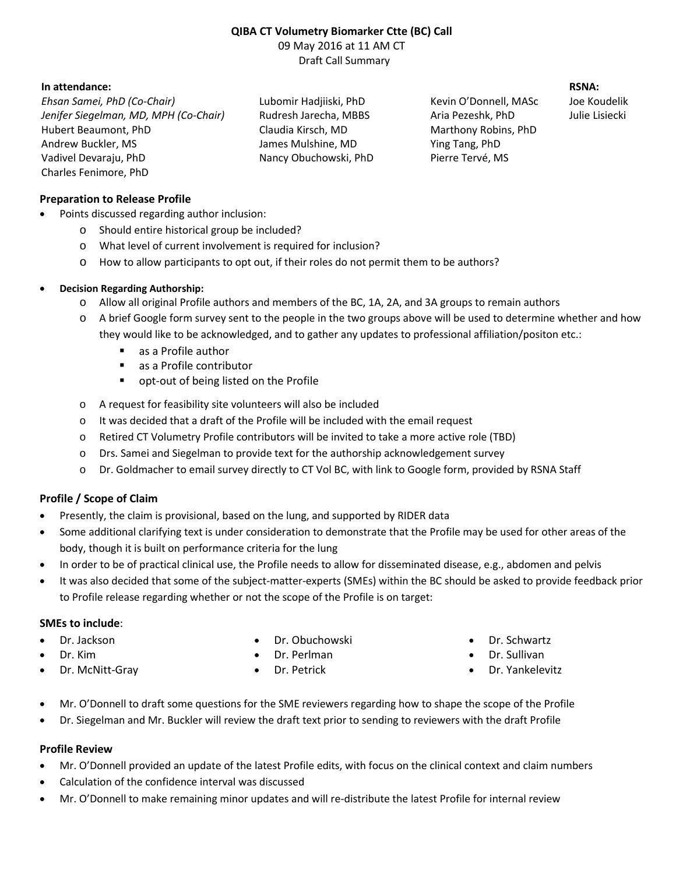# **QIBA CT Volumetry Biomarker Ctte (BC) Call** 09 May 2016 at 11 AM CT

Draft Call Summary

## **In attendance: RSNA:**

*Ehsan Samei, PhD (Co-Chair)* Lubomir Hadjiiski, PhD Kevin O'Donnell, MASc Joe Koudelik *Jenifer Siegelman, MD, MPH (Co-Chair)* Rudresh Jarecha, MBBS Aria Pezeshk, PhD Julie Lisiecki Hubert Beaumont, PhD Claudia Kirsch, MD Marthony Robins, PhD Andrew Buckler, MS James Mulshine, MD Ying Tang, PhD Vadivel Devaraju, PhD Nancy Obuchowski, PhD Pierre Tervé, MS Charles Fenimore, PhD

## **Preparation to Release Profile**

- Points discussed regarding author inclusion:
	- o Should entire historical group be included?
	- o What level of current involvement is required for inclusion?
	- o How to allow participants to opt out, if their roles do not permit them to be authors?

### · **Decision Regarding Authorship:**

- o Allow all original Profile authors and members of the BC, 1A, 2A, and 3A groups to remain authors
- o A brief Google form survey sent to the people in the two groups above will be used to determine whether and how they would like to be acknowledged, and to gather any updates to professional affiliation/positon etc.:
	- as a Profile author
	- as a Profile contributor
	- **•** opt-out of being listed on the Profile
- o A request for feasibility site volunteers will also be included
- $\circ$  It was decided that a draft of the Profile will be included with the email request
- o Retired CT Volumetry Profile contributors will be invited to take a more active role (TBD)
- o Drs. Samei and Siegelman to provide text for the authorship acknowledgement survey
- o Dr. Goldmacher to email survey directly to CT Vol BC, with link to Google form, provided by RSNA Staff

# **Profile / Scope of Claim**

- Presently, the claim is provisional, based on the lung, and supported by RIDER data
- · Some additional clarifying text is under consideration to demonstrate that the Profile may be used for other areas of the body, though it is built on performance criteria for the lung
- In order to be of practical clinical use, the Profile needs to allow for disseminated disease, e.g., abdomen and pelvis
- It was also decided that some of the subject-matter-experts (SMEs) within the BC should be asked to provide feedback prior to Profile release regarding whether or not the scope of the Profile is on target:

### **SMEs to include**:

- Dr. Jackson
- Dr. Kim
- Dr. McNitt-Gray
- · Dr. Obuchowski
- Dr. Perlman
- Dr. Petrick
- · Dr. Schwartz
- Dr. Sullivan
- Dr. Yankelevitz
- · Mr. O'Donnell to draft some questions for the SME reviewers regarding how to shape the scope of the Profile
- · Dr. Siegelman and Mr. Buckler will review the draft text prior to sending to reviewers with the draft Profile

### **Profile Review**

- · Mr. O'Donnell provided an update of the latest Profile edits, with focus on the clinical context and claim numbers
- Calculation of the confidence interval was discussed
- · Mr. O'Donnell to make remaining minor updates and will re-distribute the latest Profile for internal review